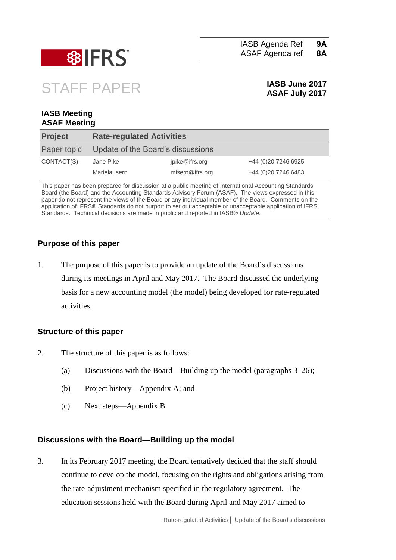

IASB Agenda Ref ASAF Agenda ref **9A 8A**

# STAFF PAPER **IASB June 2017**

## **ASAF July 2017**

#### **IASB Meeting ASAF Meeting**

| <b>Project</b> | <b>Rate-regulated Activities</b>  |                 |                      |
|----------------|-----------------------------------|-----------------|----------------------|
| Paper topic    | Update of the Board's discussions |                 |                      |
| CONTACT(S)     | Jane Pike                         | jpike@ifrs.org  | +44 (0) 20 7246 6925 |
|                | Mariela Isern                     | misern@ifrs.org | +44 (0) 20 7246 6483 |

This paper has been prepared for discussion at a public meeting of International Accounting Standards Board (the Board) and the Accounting Standards Advisory Forum (ASAF). The views expressed in this paper do not represent the views of the Board or any individual member of the Board. Comments on the application of IFRS® Standards do not purport to set out acceptable or unacceptable application of IFRS Standards. Technical decisions are made in public and reported in IASB® *Update*.

#### **Purpose of this paper**

1. The purpose of this paper is to provide an update of the Board's discussions during its meetings in April and May 2017. The Board discussed the underlying basis for a new accounting model (the model) being developed for rate-regulated activities.

#### **Structure of this paper**

- 2. The structure of this paper is as follows:
	- (a) Discussions with the Board—Building up the model (paragraphs [3–](#page-0-0)26);
	- (b) Project history—Appendix A; and
	- (c) Next steps—Appendix B

#### **Discussions with the Board—Building up the model**

<span id="page-0-0"></span>3. In its February 2017 meeting, the Board tentatively decided that the staff should continue to develop the model, focusing on the rights and obligations arising from the rate-adjustment mechanism specified in the regulatory agreement. The education sessions held with the Board during April and May 2017 aimed to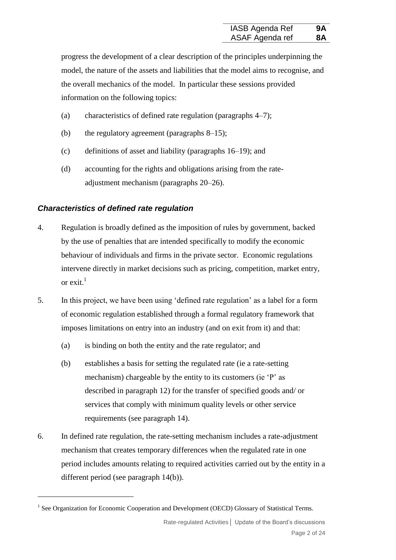progress the development of a clear description of the principles underpinning the model, the nature of the assets and liabilities that the model aims to recognise, and the overall mechanics of the model. In particular these sessions provided information on the following topics:

- (a) characteristics of defined rate regulation (paragraphs [4–](#page-1-0)[7\)](#page-2-0);
- <span id="page-1-3"></span>(b) the regulatory agreement (paragraphs [8](#page-2-1)[–15\)](#page-4-0);
- (c) definitions of asset and liability (paragraphs [16–](#page-5-0)[19\)](#page-6-0); and
- (d) accounting for the rights and obligations arising from the rateadjustment mechanism (paragraphs [20–](#page-13-0)26).

#### *Characteristics of defined rate regulation*

1

- <span id="page-1-0"></span>4. Regulation is broadly defined as the imposition of rules by government, backed by the use of penalties that are intended specifically to modify the economic behaviour of individuals and firms in the private sector. Economic regulations intervene directly in market decisions such as pricing, competition, market entry, or  $ext{ext}^1$
- <span id="page-1-4"></span><span id="page-1-1"></span>5. In this project, we have been using 'defined rate regulation' as a label for a form of economic regulation established through a formal regulatory framework that imposes limitations on entry into an industry (and on exit from it) and that:
	- (a) is binding on both the entity and the rate regulator; and
	- (b) establishes a basis for setting the regulated rate (ie a rate-setting mechanism) chargeable by the entity to its customers (ie 'P' as described in paragraph [12\)](#page-3-0) for the transfer of specified goods and/ or services that comply with minimum quality levels or other service requirements (see paragraph [14\)](#page-4-1).
- <span id="page-1-2"></span>6. In defined rate regulation, the rate-setting mechanism includes a rate-adjustment mechanism that creates temporary differences when the regulated rate in one period includes amounts relating to required activities carried out by the entity in a different period (see paragraph [14\(b\)\)](#page-4-2).

Rate-regulated Activities**│** Update of the Board's discussions Page 2 of 24

<sup>&</sup>lt;sup>1</sup> See Organization for Economic Cooperation and Development (OECD) Glossary of Statistical Terms.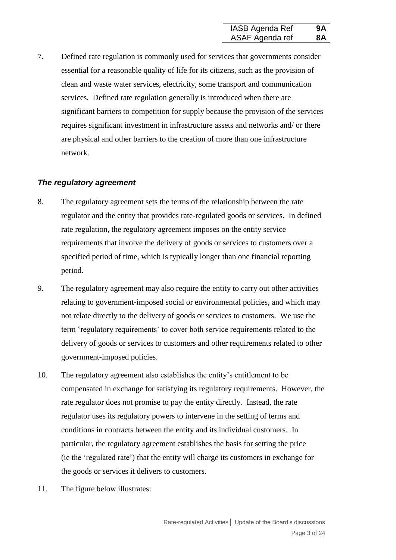<span id="page-2-0"></span>7. Defined rate regulation is commonly used for services that governments consider essential for a reasonable quality of life for its citizens, such as the provision of clean and waste water services, electricity, some transport and communication services. Defined rate regulation generally is introduced when there are significant barriers to competition for supply because the provision of the services requires significant investment in infrastructure assets and networks and/ or there are physical and other barriers to the creation of more than one infrastructure network.

#### *The regulatory agreement*

- <span id="page-2-1"></span>8. The regulatory agreement sets the terms of the relationship between the rate regulator and the entity that provides rate-regulated goods or services. In defined rate regulation, the regulatory agreement imposes on the entity service requirements that involve the delivery of goods or services to customers over a specified period of time, which is typically longer than one financial reporting period.
- <span id="page-2-2"></span>9. The regulatory agreement may also require the entity to carry out other activities relating to government-imposed social or environmental policies, and which may not relate directly to the delivery of goods or services to customers. We use the term 'regulatory requirements' to cover both service requirements related to the delivery of goods or services to customers and other requirements related to other government-imposed policies.
- 10. The regulatory agreement also establishes the entity's entitlement to be compensated in exchange for satisfying its regulatory requirements. However, the rate regulator does not promise to pay the entity directly. Instead, the rate regulator uses its regulatory powers to intervene in the setting of terms and conditions in contracts between the entity and its individual customers. In particular, the regulatory agreement establishes the basis for setting the price (ie the 'regulated rate') that the entity will charge its customers in exchange for the goods or services it delivers to customers.
- 11. The figure below illustrates: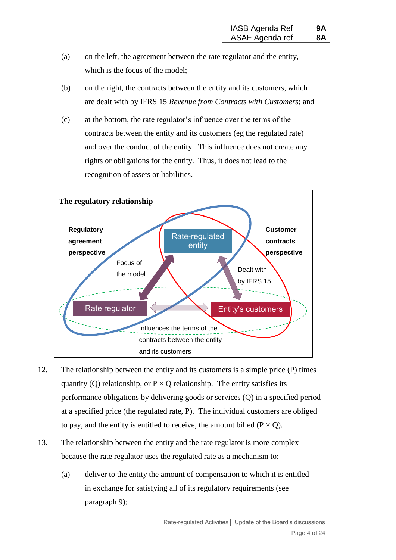- (a) on the left, the agreement between the rate regulator and the entity, which is the focus of the model;
- (b) on the right, the contracts between the entity and its customers, which are dealt with by IFRS 15 *Revenue from Contracts with Customers*; and
- (c) at the bottom, the rate regulator's influence over the terms of the contracts between the entity and its customers (eg the regulated rate) and over the conduct of the entity. This influence does not create any rights or obligations for the entity. Thus, it does not lead to the recognition of assets or liabilities.



- <span id="page-3-0"></span>12. The relationship between the entity and its customers is a simple price (P) times quantity (Q) relationship, or  $P \times Q$  relationship. The entity satisfies its performance obligations by delivering goods or services (Q) in a specified period at a specified price (the regulated rate, P). The individual customers are obliged to pay, and the entity is entitled to receive, the amount billed ( $P \times Q$ ).
- 13. The relationship between the entity and the rate regulator is more complex because the rate regulator uses the regulated rate as a mechanism to:
	- (a) deliver to the entity the amount of compensation to which it is entitled in exchange for satisfying all of its regulatory requirements (see paragraph [9\)](#page-2-2);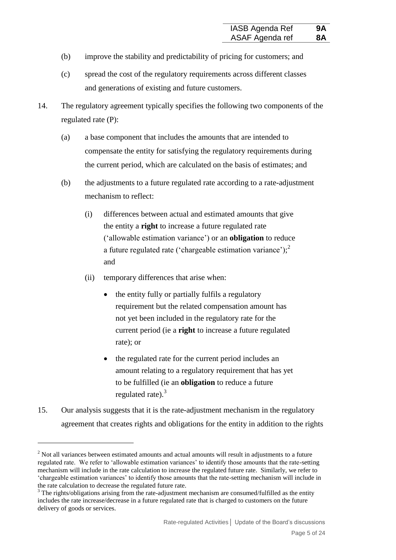- (b) improve the stability and predictability of pricing for customers; and
- (c) spread the cost of the regulatory requirements across different classes and generations of existing and future customers.
- <span id="page-4-2"></span><span id="page-4-1"></span>14. The regulatory agreement typically specifies the following two components of the regulated rate (P):
	- (a) a base component that includes the amounts that are intended to compensate the entity for satisfying the regulatory requirements during the current period, which are calculated on the basis of estimates; and
	- (b) the adjustments to a future regulated rate according to a rate-adjustment mechanism to reflect:
		- (i) differences between actual and estimated amounts that give the entity a **right** to increase a future regulated rate ('allowable estimation variance') or an **obligation** to reduce a future regulated rate ('chargeable estimation variance');<sup>2</sup> and
		- (ii) temporary differences that arise when:
			- the entity fully or partially fulfils a regulatory requirement but the related compensation amount has not yet been included in the regulatory rate for the current period (ie a **right** to increase a future regulated rate); or
			- the regulated rate for the current period includes an amount relating to a regulatory requirement that has yet to be fulfilled (ie an **obligation** to reduce a future regulated rate). $3$
- <span id="page-4-0"></span>15. Our analysis suggests that it is the rate-adjustment mechanism in the regulatory agreement that creates rights and obligations for the entity in addition to the rights

<sup>&</sup>lt;sup>2</sup> Not all variances between estimated amounts and actual amounts will result in adjustments to a future regulated rate. We refer to 'allowable estimation variances' to identify those amounts that the rate-setting mechanism will include in the rate calculation to increase the regulated future rate. Similarly, we refer to 'chargeable estimation variances' to identify those amounts that the rate-setting mechanism will include in the rate calculation to decrease the regulated future rate.

 $3$  The rights/obligations arising from the rate-adjustment mechanism are consumed/fulfilled as the entity includes the rate increase/decrease in a future regulated rate that is charged to customers on the future delivery of goods or services.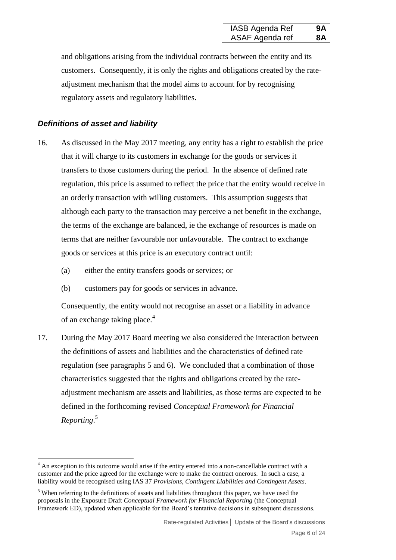and obligations arising from the individual contracts between the entity and its customers. Consequently, it is only the rights and obligations created by the rateadjustment mechanism that the model aims to account for by recognising regulatory assets and regulatory liabilities.

#### *Definitions of asset and liability*

1

- <span id="page-5-0"></span>16. As discussed in the May 2017 meeting, any entity has a right to establish the price that it will charge to its customers in exchange for the goods or services it transfers to those customers during the period. In the absence of defined rate regulation, this price is assumed to reflect the price that the entity would receive in an orderly transaction with willing customers. This assumption suggests that although each party to the transaction may perceive a net benefit in the exchange, the terms of the exchange are balanced, ie the exchange of resources is made on terms that are neither favourable nor unfavourable. The contract to exchange goods or services at this price is an executory contract until:
	- (a) either the entity transfers goods or services; or
	- (b) customers pay for goods or services in advance.

Consequently, the entity would not recognise an asset or a liability in advance of an exchange taking place.<sup>4</sup>

17. During the May 2017 Board meeting we also considered the interaction between the definitions of assets and liabilities and the characteristics of defined rate regulation (see paragraphs [5](#page-1-1) and [6\)](#page-1-2). We concluded that a combination of those characteristics suggested that the rights and obligations created by the rateadjustment mechanism are assets and liabilities, as those terms are expected to be defined in the forthcoming revised *Conceptual Framework for Financial Reporting*. 5

<sup>&</sup>lt;sup>4</sup> An exception to this outcome would arise if the entity entered into a non-cancellable contract with a customer and the price agreed for the exchange were to make the contract onerous. In such a case, a liability would be recognised using IAS 37 *Provisions, Contingent Liabilities and Contingent Assets*.

 $<sup>5</sup>$  When referring to the definitions of assets and liabilities throughout this paper, we have used the</sup> proposals in the Exposure Draft *Conceptual Framework for Financial Reporting* (the Conceptual Framework ED), updated when applicable for the Board's tentative decisions in subsequent discussions.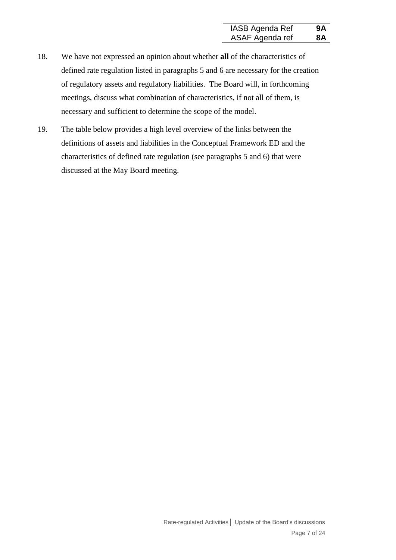- 18. We have not expressed an opinion about whether **all** of the characteristics of defined rate regulation listed in paragraphs [5](#page-1-1) and [6](#page-1-2) are necessary for the creation of regulatory assets and regulatory liabilities. The Board will, in forthcoming meetings, discuss what combination of characteristics, if not all of them, is necessary and sufficient to determine the scope of the model.
- <span id="page-6-0"></span>19. The table below provides a high level overview of the links between the definitions of assets and liabilities in the Conceptual Framework ED and the characteristics of defined rate regulation (see paragraphs [5](#page-1-1) and [6\)](#page-1-2) that were discussed at the May Board meeting.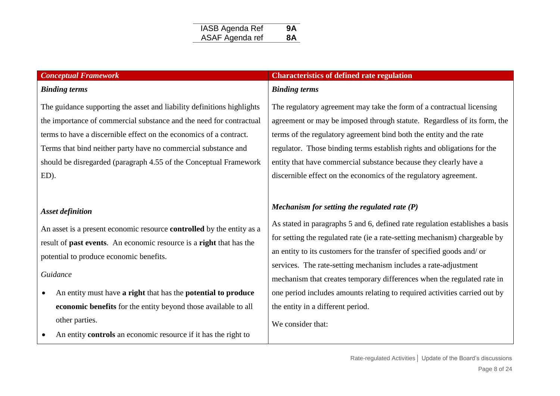#### *Binding terms*

The guidance supporting the asset and liability definitions highlights the importance of commercial substance and the need for contractual terms to have a discernible effect on the economics of a contract. Terms that bind neither party have no commercial substance and should be disregarded (paragraph 4.55 of the Conceptual Framework ED).

#### *Asset definition*

An asset is a present economic resource **controlled** by the entity as a result of **past events**. An economic resource is a **right** that has the potential to produce economic benefits.

#### *Guidance*

- An entity must have **a right** that has the **potential to produce economic benefits** for the entity beyond those available to all other parties.
- An entity **controls** an economic resource if it has the right to

#### *Conceptual Framework* **Characteristics of defined rate regulation**

#### *Binding terms*

The regulatory agreement may take the form of a contractual licensing agreement or may be imposed through statute. Regardless of its form, the terms of the regulatory agreement bind both the entity and the rate regulator. Those binding terms establish rights and obligations for the entity that have commercial substance because they clearly have a discernible effect on the economics of the regulatory agreement.

### *Mechanism for setting the regulated rate (P)*

As stated in paragraphs [5](#page-1-3) and [6,](#page-1-4) defined rate regulation establishes a basis for setting the regulated rate (ie a rate-setting mechanism) chargeable by an entity to its customers for the transfer of specified goods and/ or services. The rate-setting mechanism includes a rate-adjustment mechanism that creates temporary differences when the regulated rate in one period includes amounts relating to required activities carried out by the entity in a different period.

We consider that: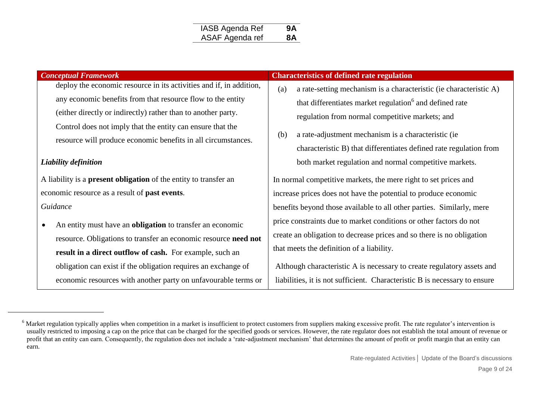| IASB Agenda Ref | 9A        |
|-----------------|-----------|
| ASAF Agenda ref | <b>8A</b> |

| <b>Conceptual Framework</b>                                             | <b>Characteristics of defined rate regulation</b>                          |  |
|-------------------------------------------------------------------------|----------------------------------------------------------------------------|--|
| deploy the economic resource in its activities and if, in addition,     | (a)<br>a rate-setting mechanism is a characteristic (ie characteristic A)  |  |
| any economic benefits from that resource flow to the entity             | that differentiates market regulation <sup>6</sup> and defined rate        |  |
| (either directly or indirectly) rather than to another party.           | regulation from normal competitive markets; and                            |  |
| Control does not imply that the entity can ensure that the              |                                                                            |  |
| resource will produce economic benefits in all circumstances.           | a rate-adjustment mechanism is a characteristic (ie<br>(b)                 |  |
|                                                                         | characteristic B) that differentiates defined rate regulation from         |  |
| Liability definition                                                    | both market regulation and normal competitive markets.                     |  |
| A liability is a <b>present obligation</b> of the entity to transfer an | In normal competitive markets, the mere right to set prices and            |  |
| economic resource as a result of <b>past events</b> .                   | increase prices does not have the potential to produce economic            |  |
| Guidance                                                                | benefits beyond those available to all other parties. Similarly, mere      |  |
| An entity must have an <b>obligation</b> to transfer an economic        | price constraints due to market conditions or other factors do not         |  |
| resource. Obligations to transfer an economic resource need not         | create an obligation to decrease prices and so there is no obligation      |  |
| result in a direct outflow of cash. For example, such an                | that meets the definition of a liability.                                  |  |
| obligation can exist if the obligation requires an exchange of          | Although characteristic A is necessary to create regulatory assets and     |  |
| economic resources with another party on unfavourable terms or          | liabilities, it is not sufficient. Characteristic B is necessary to ensure |  |

 $\overline{a}$ 

Rate-regulated Activities**│** Update of the Board's discussions

<sup>&</sup>lt;sup>6</sup> Market regulation typically applies when competition in a market is insufficient to protect customers from suppliers making excessive profit. The rate regulator's intervention is usually restricted to imposing a cap on the price that can be charged for the specified goods or services. However, the rate regulator does not establish the total amount of revenue or profit that an entity can earn. Consequently, the regulation does not include a 'rate-adjustment mechanism' that determines the amount of profit or profit margin that an entity can earn.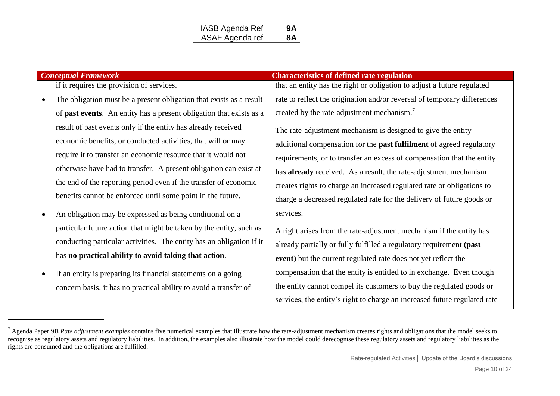| IASB Agenda Ref | 9A |
|-----------------|----|
| ASAF Agenda ref | 8A |

 $\overline{a}$ 

if it requires the provision of services.

- The obligation must be a present obligation that exists as a result of **past events**. An entity has a present obligation that exists as a result of past events only if the entity has already received economic benefits, or conducted activities, that will or may require it to transfer an economic resource that it would not otherwise have had to transfer. A present obligation can exist at the end of the reporting period even if the transfer of economic benefits cannot be enforced until some point in the future.
- An obligation may be expressed as being conditional on a particular future action that might be taken by the entity, such as conducting particular activities. The entity has an obligation if it has **no practical ability to avoid taking that action**.
- If an entity is preparing its financial statements on a going concern basis, it has no practical ability to avoid a transfer of

#### **Conceptual Framework Conceptual Framework Characteristics of defined rate regulation**

that an entity has the right or obligation to adjust a future regulated rate to reflect the origination and/or reversal of temporary differences created by the rate-adjustment mechanism.<sup>7</sup>

The rate-adjustment mechanism is designed to give the entity additional compensation for the **past fulfilment** of agreed regulatory requirements, or to transfer an excess of compensation that the entity has **already** received. As a result, the rate-adjustment mechanism creates rights to charge an increased regulated rate or obligations to charge a decreased regulated rate for the delivery of future goods or services.

A right arises from the rate-adjustment mechanism if the entity has already partially or fully fulfilled a regulatory requirement **(past event)** but the current regulated rate does not yet reflect the compensation that the entity is entitled to in exchange. Even though the entity cannot compel its customers to buy the regulated goods or services, the entity's right to charge an increased future regulated rate

Rate-regulated Activities**│** Update of the Board's discussions

<sup>&</sup>lt;sup>7</sup> Agenda Paper 9B *Rate adjustment examples* contains five numerical examples that illustrate how the rate-adjustment mechanism creates rights and obligations that the model seeks to recognise as regulatory assets and regulatory liabilities. In addition, the examples also illustrate how the model could derecognise these regulatory assets and regulatory liabilities as the rights are consumed and the obligations are fulfilled.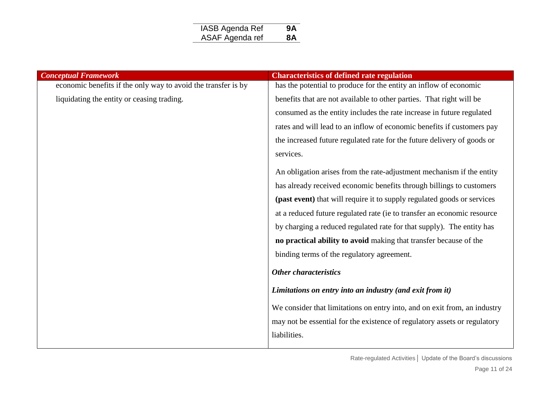| IASB Agenda Ref | 9Α |
|-----------------|----|
| ASAF Agenda ref | 8А |

| <b>Conceptual Framework</b>                                   | <b>Characteristics of defined rate regulation</b>                         |
|---------------------------------------------------------------|---------------------------------------------------------------------------|
| economic benefits if the only way to avoid the transfer is by | has the potential to produce for the entity an inflow of economic         |
| liquidating the entity or ceasing trading.                    | benefits that are not available to other parties. That right will be      |
|                                                               | consumed as the entity includes the rate increase in future regulated     |
|                                                               | rates and will lead to an inflow of economic benefits if customers pay    |
|                                                               | the increased future regulated rate for the future delivery of goods or   |
|                                                               | services.                                                                 |
|                                                               | An obligation arises from the rate-adjustment mechanism if the entity     |
|                                                               | has already received economic benefits through billings to customers      |
|                                                               | (past event) that will require it to supply regulated goods or services   |
|                                                               | at a reduced future regulated rate (ie to transfer an economic resource   |
|                                                               | by charging a reduced regulated rate for that supply). The entity has     |
|                                                               | no practical ability to avoid making that transfer because of the         |
|                                                               | binding terms of the regulatory agreement.                                |
|                                                               | <b>Other characteristics</b>                                              |
|                                                               | Limitations on entry into an industry (and exit from it)                  |
|                                                               | We consider that limitations on entry into, and on exit from, an industry |
|                                                               | may not be essential for the existence of regulatory assets or regulatory |
|                                                               | liabilities.                                                              |
|                                                               |                                                                           |

Rate-regulated Activities**│** Update of the Board's discussions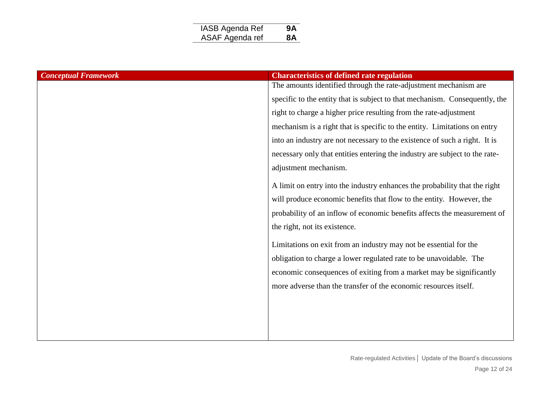| <b>IASB Agenda Ref</b> | 9Α |
|------------------------|----|
| ASAF Agenda ref        | 8Α |
|                        |    |

| <b>Conceptual Framework</b> | <b>Characteristics of defined rate regulation</b>                           |
|-----------------------------|-----------------------------------------------------------------------------|
|                             | The amounts identified through the rate-adjustment mechanism are            |
|                             | specific to the entity that is subject to that mechanism. Consequently, the |
|                             | right to charge a higher price resulting from the rate-adjustment           |
|                             | mechanism is a right that is specific to the entity. Limitations on entry   |
|                             | into an industry are not necessary to the existence of such a right. It is  |
|                             | necessary only that entities entering the industry are subject to the rate- |
|                             | adjustment mechanism.                                                       |
|                             | A limit on entry into the industry enhances the probability that the right  |
|                             | will produce economic benefits that flow to the entity. However, the        |
|                             | probability of an inflow of economic benefits affects the measurement of    |
|                             | the right, not its existence.                                               |
|                             | Limitations on exit from an industry may not be essential for the           |
|                             | obligation to charge a lower regulated rate to be unavoidable. The          |
|                             | economic consequences of exiting from a market may be significantly         |
|                             | more adverse than the transfer of the economic resources itself.            |
|                             |                                                                             |
|                             |                                                                             |
|                             |                                                                             |
|                             |                                                                             |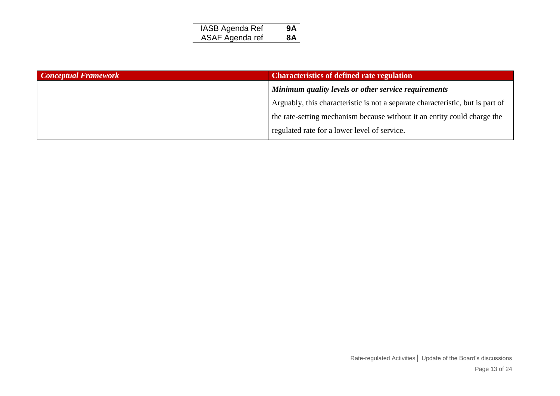| IASB Agenda Ref | 9Α |
|-----------------|----|
| ASAF Agenda ref | 8A |

| <b>Conceptual Framework</b> | <b>Characteristics of defined rate regulation</b>                              |  |
|-----------------------------|--------------------------------------------------------------------------------|--|
|                             | Minimum quality levels or other service requirements                           |  |
|                             | Arguably, this characteristic is not a separate characteristic, but is part of |  |
|                             | the rate-setting mechanism because without it an entity could charge the       |  |
|                             | regulated rate for a lower level of service.                                   |  |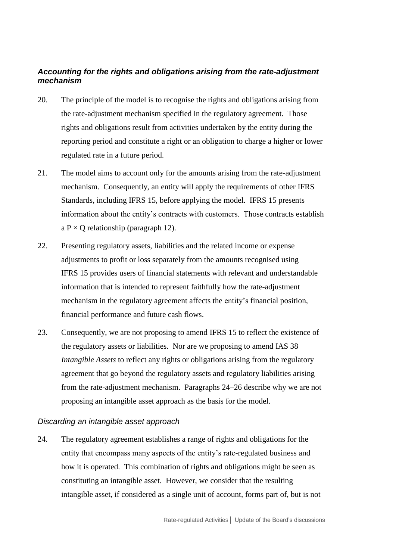### *Accounting for the rights and obligations arising from the rate-adjustment mechanism*

- <span id="page-13-0"></span>20. The principle of the model is to recognise the rights and obligations arising from the rate-adjustment mechanism specified in the regulatory agreement. Those rights and obligations result from activities undertaken by the entity during the reporting period and constitute a right or an obligation to charge a higher or lower regulated rate in a future period.
- 21. The model aims to account only for the amounts arising from the rate-adjustment mechanism. Consequently, an entity will apply the requirements of other IFRS Standards, including IFRS 15, before applying the model. IFRS 15 presents information about the entity's contracts with customers. Those contracts establish a  $P \times Q$  relationship (paragraph 12).
- 22. Presenting regulatory assets, liabilities and the related income or expense adjustments to profit or loss separately from the amounts recognised using IFRS 15 provides users of financial statements with relevant and understandable information that is intended to represent faithfully how the rate-adjustment mechanism in the regulatory agreement affects the entity's financial position, financial performance and future cash flows.
- 23. Consequently, we are not proposing to amend IFRS 15 to reflect the existence of the regulatory assets or liabilities. Nor are we proposing to amend IAS 38 *Intangible Assets* to reflect any rights or obligations arising from the regulatory agreement that go beyond the regulatory assets and regulatory liabilities arising from the rate-adjustment mechanism. Paragraphs 24–26 describe why we are not proposing an intangible asset approach as the basis for the model.

#### *Discarding an intangible asset approach*

24. The regulatory agreement establishes a range of rights and obligations for the entity that encompass many aspects of the entity's rate-regulated business and how it is operated. This combination of rights and obligations might be seen as constituting an intangible asset. However, we consider that the resulting intangible asset, if considered as a single unit of account, forms part of, but is not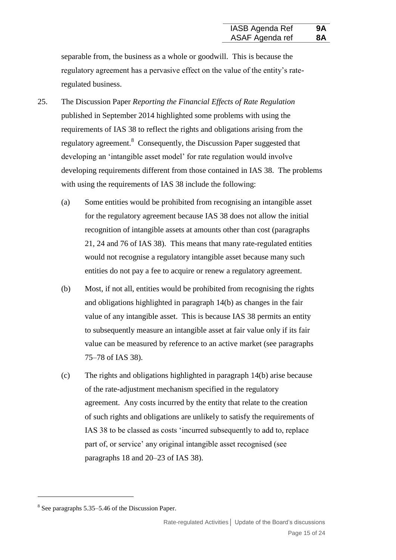separable from, the business as a whole or goodwill. This is because the regulatory agreement has a pervasive effect on the value of the entity's rateregulated business.

- 25. The Discussion Paper *Reporting the Financial Effects of Rate Regulation* published in September 2014 highlighted some problems with using the requirements of IAS 38 to reflect the rights and obligations arising from the regulatory agreement.<sup>8</sup> Consequently, the Discussion Paper suggested that developing an 'intangible asset model' for rate regulation would involve developing requirements different from those contained in IAS 38. The problems with using the requirements of IAS 38 include the following:
	- (a) Some entities would be prohibited from recognising an intangible asset for the regulatory agreement because IAS 38 does not allow the initial recognition of intangible assets at amounts other than cost (paragraphs 21, 24 and 76 of IAS 38). This means that many rate-regulated entities would not recognise a regulatory intangible asset because many such entities do not pay a fee to acquire or renew a regulatory agreement.
	- (b) Most, if not all, entities would be prohibited from recognising the rights and obligations highlighted in paragraph [14\(](#page-4-1)b) as changes in the fair value of any intangible asset. This is because IAS 38 permits an entity to subsequently measure an intangible asset at fair value only if its fair value can be measured by reference to an active market (see paragraphs 75–78 of IAS 38).
	- (c) The rights and obligations highlighted in paragraph [14\(](#page-4-1)b) arise because of the rate-adjustment mechanism specified in the regulatory agreement. Any costs incurred by the entity that relate to the creation of such rights and obligations are unlikely to satisfy the requirements of IAS 38 to be classed as costs 'incurred subsequently to add to, replace part of, or service' any original intangible asset recognised (see paragraphs 18 and 20–23 of IAS 38).

<sup>8</sup> See paragraphs 5.35–5.46 of the Discussion Paper.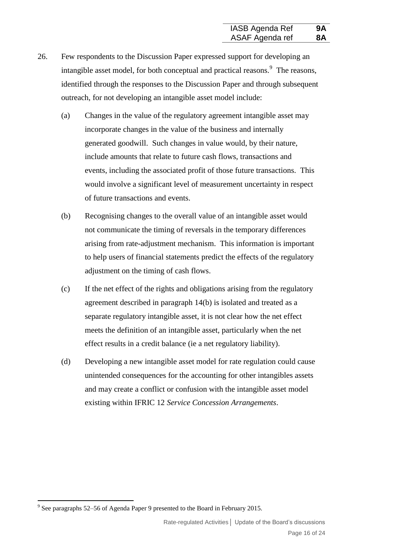- 26. Few respondents to the Discussion Paper expressed support for developing an intangible asset model, for both conceptual and practical reasons.<sup>9</sup> The reasons, identified through the responses to the Discussion Paper and through subsequent outreach, for not developing an intangible asset model include:
	- (a) Changes in the value of the regulatory agreement intangible asset may incorporate changes in the value of the business and internally generated goodwill. Such changes in value would, by their nature, include amounts that relate to future cash flows, transactions and events, including the associated profit of those future transactions. This would involve a significant level of measurement uncertainty in respect of future transactions and events.
	- (b) Recognising changes to the overall value of an intangible asset would not communicate the timing of reversals in the temporary differences arising from rate-adjustment mechanism. This information is important to help users of financial statements predict the effects of the regulatory adjustment on the timing of cash flows.
	- (c) If the net effect of the rights and obligations arising from the regulatory agreement described in paragraph [14\(](#page-4-1)b) is isolated and treated as a separate regulatory intangible asset, it is not clear how the net effect meets the definition of an intangible asset, particularly when the net effect results in a credit balance (ie a net regulatory liability).
	- (d) Developing a new intangible asset model for rate regulation could cause unintended consequences for the accounting for other intangibles assets and may create a conflict or confusion with the intangible asset model existing within IFRIC 12 *Service Concession Arrangements*.

<sup>&</sup>lt;sup>9</sup> See paragraphs 52–56 of Agenda Paper 9 presented to the Board in February 2015.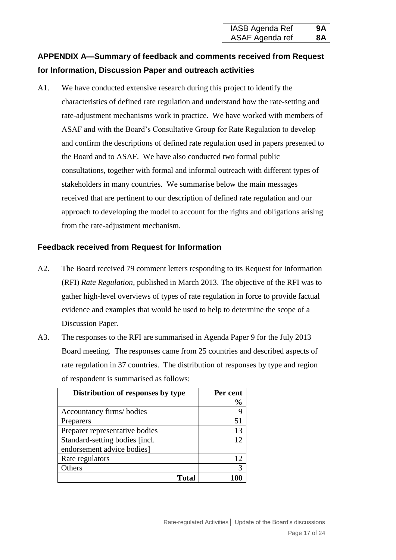## **APPENDIX A—Summary of feedback and comments received from Request for Information, Discussion Paper and outreach activities**

A1. We have conducted extensive research during this project to identify the characteristics of defined rate regulation and understand how the rate-setting and rate-adjustment mechanisms work in practice. We have worked with members of ASAF and with the Board's Consultative Group for Rate Regulation to develop and confirm the descriptions of defined rate regulation used in papers presented to the Board and to ASAF. We have also conducted two formal public consultations, together with formal and informal outreach with different types of stakeholders in many countries. We summarise below the main messages received that are pertinent to our description of defined rate regulation and our approach to developing the model to account for the rights and obligations arising from the rate-adjustment mechanism.

#### **Feedback received from Request for Information**

- A2. The Board received 79 comment letters responding to its Request for Information (RFI) *Rate Regulation*, published in March 2013. The objective of the RFI was to gather high-level overviews of types of rate regulation in force to provide factual evidence and examples that would be used to help to determine the scope of a Discussion Paper.
- A3. The responses to the RFI are summarised in Agenda Paper 9 for the July 2013 Board meeting. The responses came from 25 countries and described aspects of rate regulation in 37 countries. The distribution of responses by type and region of respondent is summarised as follows:

| Distribution of responses by type | Per cent<br>$\frac{6}{9}$ |
|-----------------------------------|---------------------------|
| Accountancy firms/ bodies         |                           |
| Preparers                         | 51                        |
| Preparer representative bodies    | 13                        |
| Standard-setting bodies [incl.]   | ר ו                       |
| endorsement advice bodies]        |                           |
| Rate regulators                   | 12                        |
| thers)                            |                           |
| Total                             |                           |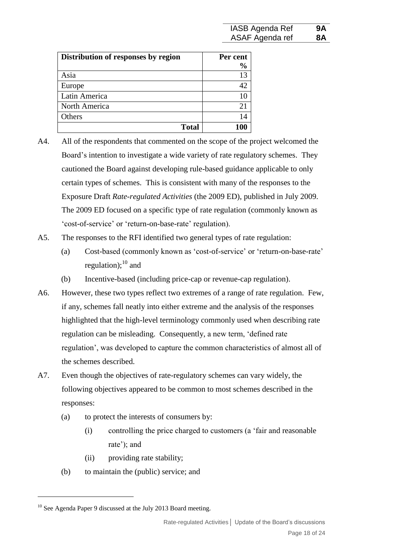| Distribution of responses by region | Per cent      |
|-------------------------------------|---------------|
|                                     | $\frac{0}{0}$ |
| Asia                                | 13            |
| Europe                              | 42            |
| Latin America                       |               |
| North America                       | 21            |
| Others                              | 14            |
| <b>Total</b>                        | 100           |

- A4. All of the respondents that commented on the scope of the project welcomed the Board's intention to investigate a wide variety of rate regulatory schemes. They cautioned the Board against developing rule-based guidance applicable to only certain types of schemes. This is consistent with many of the responses to the Exposure Draft *Rate-regulated Activities* (the 2009 ED), published in July 2009. The 2009 ED focused on a specific type of rate regulation (commonly known as 'cost-of-service' or 'return-on-base-rate' regulation).
- A5. The responses to the RFI identified two general types of rate regulation:
	- (a) Cost-based (commonly known as 'cost-of-service' or 'return-on-base-rate' regulation); $^{10}$  and
	- (b) Incentive-based (including price-cap or revenue-cap regulation).
- A6. However, these two types reflect two extremes of a range of rate regulation. Few, if any, schemes fall neatly into either extreme and the analysis of the responses highlighted that the high-level terminology commonly used when describing rate regulation can be misleading. Consequently, a new term, 'defined rate regulation', was developed to capture the common characteristics of almost all of the schemes described.
- A7. Even though the objectives of rate-regulatory schemes can vary widely, the following objectives appeared to be common to most schemes described in the responses:
	- (a) to protect the interests of consumers by:
		- (i) controlling the price charged to customers (a 'fair and reasonable rate'); and
		- (ii) providing rate stability;
	- (b) to maintain the (public) service; and

<sup>&</sup>lt;sup>10</sup> See Agenda Paper 9 discussed at the July 2013 Board meeting.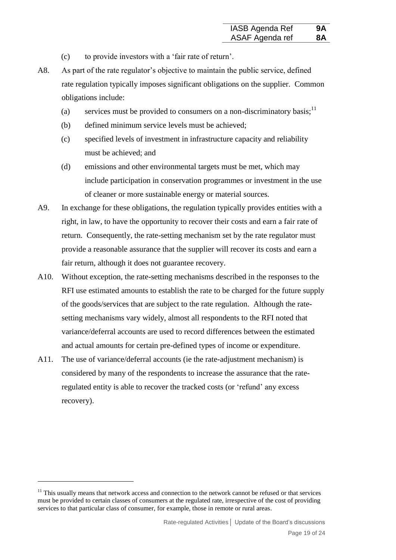- (c) to provide investors with a 'fair rate of return'.
- A8. As part of the rate regulator's objective to maintain the public service, defined rate regulation typically imposes significant obligations on the supplier. Common obligations include:
	- (a) services must be provided to consumers on a non-discriminatory basis;<sup>11</sup>
	- (b) defined minimum service levels must be achieved;
	- (c) specified levels of investment in infrastructure capacity and reliability must be achieved; and
	- (d) emissions and other environmental targets must be met, which may include participation in conservation programmes or investment in the use of cleaner or more sustainable energy or material sources.
- A9. In exchange for these obligations, the regulation typically provides entities with a right, in law, to have the opportunity to recover their costs and earn a fair rate of return. Consequently, the rate-setting mechanism set by the rate regulator must provide a reasonable assurance that the supplier will recover its costs and earn a fair return, although it does not guarantee recovery.
- A10. Without exception, the rate-setting mechanisms described in the responses to the RFI use estimated amounts to establish the rate to be charged for the future supply of the goods/services that are subject to the rate regulation. Although the ratesetting mechanisms vary widely, almost all respondents to the RFI noted that variance/deferral accounts are used to record differences between the estimated and actual amounts for certain pre-defined types of income or expenditure.
- A11. The use of variance/deferral accounts (ie the rate-adjustment mechanism) is considered by many of the respondents to increase the assurance that the rateregulated entity is able to recover the tracked costs (or 'refund' any excess recovery).

<u>.</u>

 $11$  This usually means that network access and connection to the network cannot be refused or that services must be provided to certain classes of consumers at the regulated rate, irrespective of the cost of providing services to that particular class of consumer, for example, those in remote or rural areas.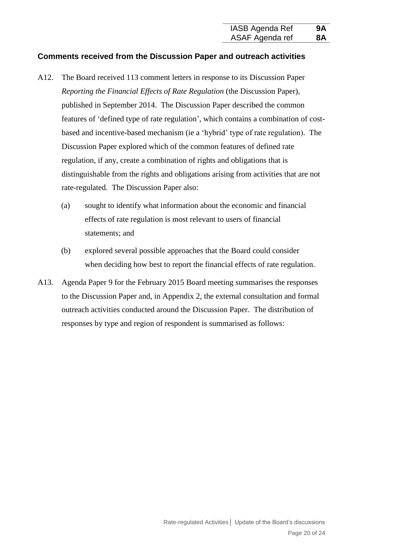#### **Comments received from the Discussion Paper and outreach activities**

- A12. The Board received 113 comment letters in response to its Discussion Paper *Reporting the Financial Effects of Rate Regulation* (the Discussion Paper), published in September 2014. The Discussion Paper described the common features of 'defined type of rate regulation', which contains a combination of costbased and incentive-based mechanism (ie a 'hybrid' type of rate regulation). The Discussion Paper explored which of the common features of defined rate regulation, if any, create a combination of rights and obligations that is distinguishable from the rights and obligations arising from activities that are not rate-regulated. The Discussion Paper also:
	- (a) sought to identify what information about the economic and financial effects of rate regulation is most relevant to users of financial statements; and
	- (b) explored several possible approaches that the Board could consider when deciding how best to report the financial effects of rate regulation.
- A13. Agenda Paper 9 for the February 2015 Board meeting summarises the responses to the Discussion Paper and, in Appendix 2, the external consultation and formal outreach activities conducted around the Discussion Paper. The distribution of responses by type and region of respondent is summarised as follows: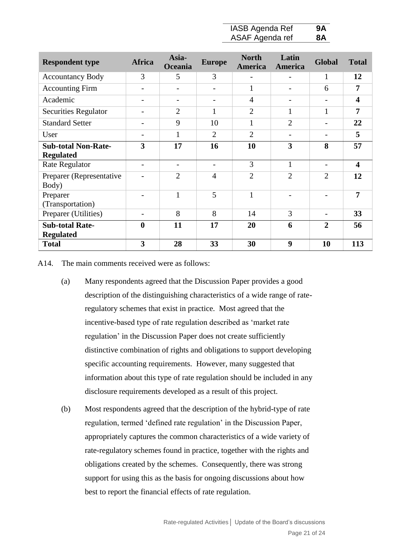| IASB Agenda Ref | 9A        |
|-----------------|-----------|
| ASAF Agenda ref | <b>8A</b> |

| <b>Respondent type</b>      | <b>Africa</b>            | Asia-<br>Oceania         | <b>Europe</b>  | <b>North</b><br>America  | Latin<br>America         | <b>Global</b>            | <b>Total</b>            |
|-----------------------------|--------------------------|--------------------------|----------------|--------------------------|--------------------------|--------------------------|-------------------------|
| <b>Accountancy Body</b>     | 3                        | 5                        | 3              | $\overline{\phantom{a}}$ | $\overline{\phantom{a}}$ | 1                        | 12                      |
| <b>Accounting Firm</b>      | $\overline{\phantom{0}}$ | $\qquad \qquad$          |                | $\mathbf{1}$             | $\qquad \qquad$          | 6                        | 7                       |
| Academic                    | $\overline{\phantom{0}}$ | $\qquad \qquad$          |                | $\overline{4}$           | $\qquad \qquad$          |                          | $\overline{\mathbf{4}}$ |
| <b>Securities Regulator</b> | $\overline{\phantom{a}}$ | $\overline{2}$           | 1              | $\overline{2}$           | $\mathbf{1}$             | $\mathbf{1}$             | $\overline{7}$          |
| <b>Standard Setter</b>      | $\overline{\phantom{0}}$ | 9                        | 10             | $\mathbf{1}$             | $\overline{2}$           | $\overline{\phantom{a}}$ | 22                      |
| User                        | $\overline{\phantom{0}}$ | $\mathbf{1}$             | $\overline{2}$ | $\overline{2}$           | $\qquad \qquad$          | $\overline{\phantom{a}}$ | 5                       |
| <b>Sub-total Non-Rate-</b>  | 3                        | 17                       | 16             | 10                       | 3                        | 8                        | 57                      |
| <b>Regulated</b>            |                          |                          |                |                          |                          |                          |                         |
| <b>Rate Regulator</b>       | $\overline{\phantom{0}}$ | $\overline{\phantom{a}}$ | $\overline{a}$ | 3                        | $\mathbf{1}$             | $\overline{\phantom{0}}$ | $\overline{\mathbf{4}}$ |
| Preparer (Representative    |                          | $\overline{2}$           | $\overline{4}$ | $\overline{2}$           | $\overline{2}$           | $\overline{2}$           | 12                      |
| Body)                       |                          |                          |                |                          |                          |                          |                         |
| Preparer                    |                          | 1                        | 5              | $\mathbf{1}$             |                          |                          | $\overline{7}$          |
| (Transportation)            |                          |                          |                |                          |                          |                          |                         |
| Preparer (Utilities)        |                          | 8                        | 8              | 14                       | 3                        | $\overline{\phantom{0}}$ | 33                      |
| <b>Sub-total Rate-</b>      | $\boldsymbol{0}$         | 11                       | 17             | 20                       | 6                        | $\overline{2}$           | 56                      |
| <b>Regulated</b>            |                          |                          |                |                          |                          |                          |                         |
| <b>Total</b>                | 3                        | 28                       | 33             | 30                       | 9                        | 10                       | 113                     |

A14. The main comments received were as follows:

- (a) Many respondents agreed that the Discussion Paper provides a good description of the distinguishing characteristics of a wide range of rateregulatory schemes that exist in practice. Most agreed that the incentive-based type of rate regulation described as 'market rate regulation' in the Discussion Paper does not create sufficiently distinctive combination of rights and obligations to support developing specific accounting requirements. However, many suggested that information about this type of rate regulation should be included in any disclosure requirements developed as a result of this project.
- (b) Most respondents agreed that the description of the hybrid-type of rate regulation, termed 'defined rate regulation' in the Discussion Paper, appropriately captures the common characteristics of a wide variety of rate-regulatory schemes found in practice, together with the rights and obligations created by the schemes. Consequently, there was strong support for using this as the basis for ongoing discussions about how best to report the financial effects of rate regulation.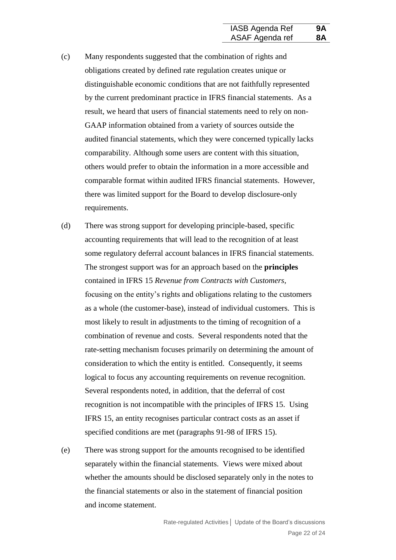- (c) Many respondents suggested that the combination of rights and obligations created by defined rate regulation creates unique or distinguishable economic conditions that are not faithfully represented by the current predominant practice in IFRS financial statements. As a result, we heard that users of financial statements need to rely on non-GAAP information obtained from a variety of sources outside the audited financial statements, which they were concerned typically lacks comparability. Although some users are content with this situation, others would prefer to obtain the information in a more accessible and comparable format within audited IFRS financial statements. However, there was limited support for the Board to develop disclosure-only requirements.
- (d) There was strong support for developing principle-based, specific accounting requirements that will lead to the recognition of at least some regulatory deferral account balances in IFRS financial statements. The strongest support was for an approach based on the **principles** contained in IFRS 15 *Revenue from Contracts with Customers*, focusing on the entity's rights and obligations relating to the customers as a whole (the customer-base), instead of individual customers. This is most likely to result in adjustments to the timing of recognition of a combination of revenue and costs. Several respondents noted that the rate-setting mechanism focuses primarily on determining the amount of consideration to which the entity is entitled. Consequently, it seems logical to focus any accounting requirements on revenue recognition. Several respondents noted, in addition, that the deferral of cost recognition is not incompatible with the principles of IFRS 15. Using IFRS 15, an entity recognises particular contract costs as an asset if specified conditions are met (paragraphs 91-98 of IFRS 15).
- (e) There was strong support for the amounts recognised to be identified separately within the financial statements. Views were mixed about whether the amounts should be disclosed separately only in the notes to the financial statements or also in the statement of financial position and income statement.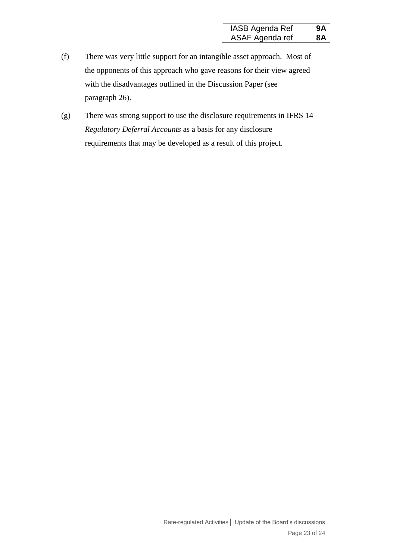- (f) There was very little support for an intangible asset approach. Most of the opponents of this approach who gave reasons for their view agreed with the disadvantages outlined in the Discussion Paper (see paragraph 26).
- (g) There was strong support to use the disclosure requirements in IFRS 14 *Regulatory Deferral Accounts* as a basis for any disclosure requirements that may be developed as a result of this project.